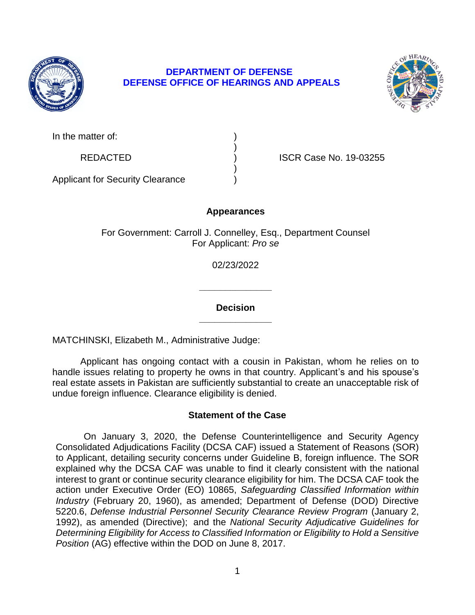

# **DEPARTMENT OF DEFENSE DEFENSE OFFICE OF HEARINGS AND APPEALS**



| In the matter of: |  |
|-------------------|--|
|-------------------|--|

REDACTED ) ISCR Case No. 19-03255

Applicant for Security Clearance )

# **Appearances**

)

)

For Government: Carroll J. Connelley, Esq., Department Counsel For Applicant: *Pro se* 

02/23/2022

**\_\_\_\_\_\_\_\_\_\_\_\_\_\_ Decision** 

**\_\_\_\_\_\_\_\_\_\_\_\_\_\_** 

MATCHINSKI, Elizabeth M., Administrative Judge:

 Applicant has ongoing contact with a cousin in Pakistan, whom he relies on to handle issues relating to property he owns in that country. Applicant's and his spouse's real estate assets in Pakistan are sufficiently substantial to create an unacceptable risk of undue foreign influence. Clearance eligibility is denied.

# **Statement of the Case**

 On January 3, 2020, the Defense Counterintelligence and Security Agency to Applicant, detailing security concerns under Guideline B, foreign influence. The SOR explained why the DCSA CAF was unable to find it clearly consistent with the national interest to grant or continue security clearance eligibility for him. The DCSA CAF took the  action under Executive Order (EO) 10865, *Safeguarding Classified Information within Industry* (February 20, 1960), as amended; Department of Defense (DOD) Directive 5220.6, *Defense Industrial Personnel Security Clearance Review Program* (January 2, 1992), as amended (Directive); and the *National Security Adjudicative Guidelines for Determining Eligibility for Access to Classified Information or Eligibility to Hold a Sensitive*  Consolidated Adjudications Facility (DCSA CAF) issued a Statement of Reasons (SOR) *Position* (AG) effective within the DOD on June 8, 2017.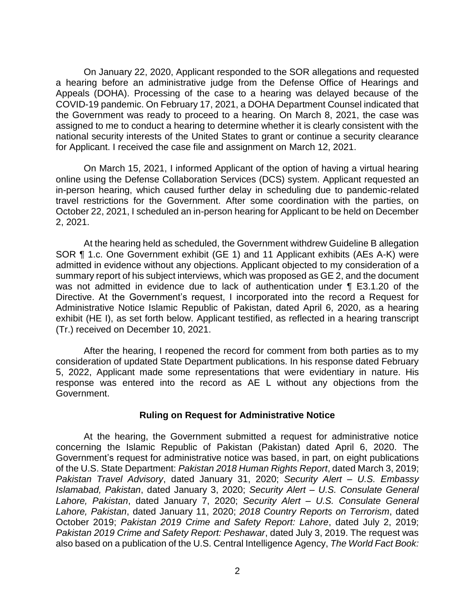a hearing before an administrative judge from the Defense Office of Hearings and Appeals (DOHA). Processing of the case to a hearing was delayed because of the COVID-19 pandemic. On February 17, 2021, a DOHA Department Counsel indicated that the Government was ready to proceed to a hearing. On March 8, 2021, the case was assigned to me to conduct a hearing to determine whether it is clearly consistent with the national security interests of the United States to grant or continue a security clearance for Applicant. I received the case file and assignment on March 12, 2021. On January 22, 2020, Applicant responded to the SOR allegations and requested

 On March 15, 2021, I informed Applicant of the option of having a virtual hearing online using the Defense Collaboration Services (DCS) system. Applicant requested an in-person hearing, which caused further delay in scheduling due to pandemic-related travel restrictions for the Government. After some coordination with the parties, on October 22, 2021, I scheduled an in-person hearing for Applicant to be held on December 2, 2021.

 At the hearing held as scheduled, the Government withdrew Guideline B allegation admitted in evidence without any objections. Applicant objected to my consideration of a summary report of his subject interviews, which was proposed as GE 2, and the document was not admitted in evidence due to lack of authentication under ¶ E3.1.20 of the Directive. At the Government's request, I incorporated into the record a Request for Administrative Notice Islamic Republic of Pakistan, dated April 6, 2020, as a hearing exhibit (HE I), as set forth below. Applicant testified, as reflected in a hearing transcript SOR ¶ 1.c. One Government exhibit (GE 1) and 11 Applicant exhibits (AEs A-K) were (Tr.) received on December 10, 2021.

 After the hearing, I reopened the record for comment from both parties as to my 5, 2022, Applicant made some representations that were evidentiary in nature. His response was entered into the record as AE L without any objections from the consideration of updated State Department publications. In his response dated February Government.

### **Ruling on Request for Administrative Notice**

 At the hearing, the Government submitted a request for administrative notice concerning the Islamic Republic of Pakistan (Pakistan) dated April 6, 2020. The Government's request for administrative notice was based, in part, on eight publications of the U.S. State Department: *Pakistan 2018 Human Rights Report*, dated March 3, 2019; *Pakistan Travel Advisory*, dated January 31, 2020; *Security Alert – U.S. Embassy Islamabad, Pakistan*, dated January 3, 2020; *Security Alert – U.S. Consulate General Lahore, Pakistan*, dated January 7, 2020; *Security Alert – U.S. Consulate General Lahore, Pakistan*, dated January 11, 2020; *2018 Country Reports on Terrorism*, dated  October 2019; *Pakistan 2019 Crime and Safety Report: Lahore*, dated July 2, 2019;  *Pakistan 2019 Crime and Safety Report: Peshawar*, dated July 3, 2019. The request was also based on a publication of the U.S. Central Intelligence Agency, *The World Fact Book:*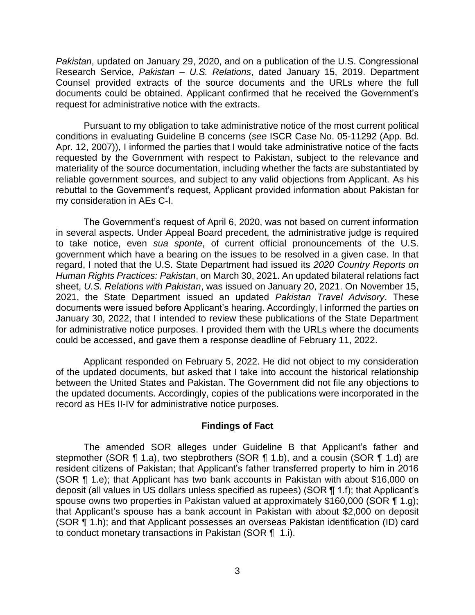*Pakistan*, updated on January 29, 2020, and on a publication of the U.S. Congressional Research Service, *Pakistan – U.S. Relations*, dated January 15, 2019. Department Counsel provided extracts of the source documents and the URLs where the full documents could be obtained. Applicant confirmed that he received the Government's request for administrative notice with the extracts.

 Pursuant to my obligation to take administrative notice of the most current political conditions in evaluating Guideline B concerns (*see* ISCR Case No. 05-11292 (App. Bd. Apr. 12, 2007)), I informed the parties that I would take administrative notice of the facts requested by the Government with respect to Pakistan, subject to the relevance and materiality of the source documentation, including whether the facts are substantiated by reliable government sources, and subject to any valid objections from Applicant. As his rebuttal to the Government's request, Applicant provided information about Pakistan for my consideration in AEs C-I.

 The Government's request of April 6, 2020, was not based on current information in several aspects. Under Appeal Board precedent, the administrative judge is required to take notice, even *sua sponte*, of current official pronouncements of the U.S. government which have a bearing on the issues to be resolved in a given case. In that regard, I noted that the U.S. State Department had issued its *2020 Country Reports on Human Rights Practices: Pakistan*, on March 30, 2021. An updated bilateral relations fact sheet, *U.S. Relations with Pakistan*, was issued on January 20, 2021. On November 15, 2021, the State Department issued an updated *Pakistan Travel Advisory*. These documents were issued before Applicant's hearing. Accordingly, I informed the parties on January 30, 2022, that I intended to review these publications of the State Department for administrative notice purposes. I provided them with the URLs where the documents could be accessed, and gave them a response deadline of February 11, 2022.

 Applicant responded on February 5, 2022. He did not object to my consideration of the updated documents, but asked that I take into account the historical relationship between the United States and Pakistan. The Government did not file any objections to the updated documents. Accordingly, copies of the publications were incorporated in the record as HEs II-IV for administrative notice purposes.

## **Findings of Fact**

stepmother (SOR ¶ 1.a), two stepbrothers (SOR ¶ 1.b), and a cousin (SOR ¶ 1.d) are resident citizens of Pakistan; that Applicant's father transferred property to him in 2016 (SOR ¶ 1.e); that Applicant has two bank accounts in Pakistan with about \$16,000 on spouse owns two properties in Pakistan valued at approximately \$160,000 (SOR ¶ 1.g); that Applicant's spouse has a bank account in Pakistan with about \$2,000 on deposit (SOR ¶ 1.h); and that Applicant possesses an overseas Pakistan identification (ID) card to conduct monetary transactions in Pakistan (SOR ¶ 1.i). The amended SOR alleges under Guideline B that Applicant's father and deposit (all values in US dollars unless specified as rupees) (SOR ¶ 1.f); that Applicant's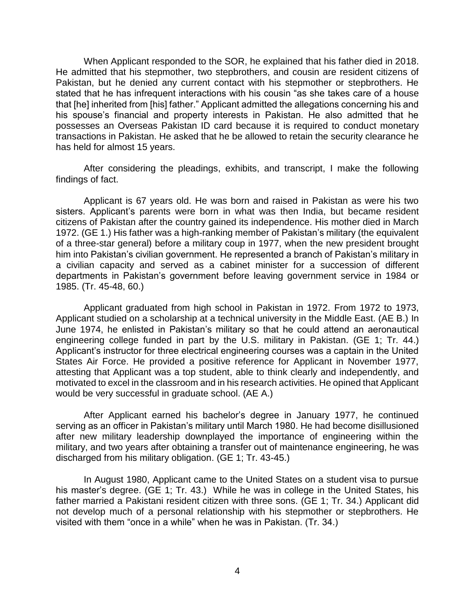When Applicant responded to the SOR, he explained that his father died in 2018. He admitted that his stepmother, two stepbrothers, and cousin are resident citizens of Pakistan, but he denied any current contact with his stepmother or stepbrothers. He stated that he has infrequent interactions with his cousin "as she takes care of a house that [he] inherited from [his] father." Applicant admitted the allegations concerning his and his spouse's financial and property interests in Pakistan. He also admitted that he possesses an Overseas Pakistan ID card because it is required to conduct monetary transactions in Pakistan. He asked that he be allowed to retain the security clearance he has held for almost 15 years.

 After considering the pleadings, exhibits, and transcript, I make the following findings of fact.

 Applicant is 67 years old. He was born and raised in Pakistan as were his two sisters. Applicant's parents were born in what was then India, but became resident citizens of Pakistan after the country gained its independence. His mother died in March of a three-star general) before a military coup in 1977, when the new president brought him into Pakistan's civilian government. He represented a branch of Pakistan's military in a civilian capacity and served as a cabinet minister for a succession of different departments in Pakistan's government before leaving government service in 1984 or 1972. (GE 1.) His father was a high-ranking member of Pakistan's military (the equivalent 1985. (Tr. 45-48, 60.)

 Applicant graduated from high school in Pakistan in 1972. From 1972 to 1973, June 1974, he enlisted in Pakistan's military so that he could attend an aeronautical engineering college funded in part by the U.S. military in Pakistan. (GE 1; Tr. 44.) States Air Force. He provided a positive reference for Applicant in November 1977, attesting that Applicant was a top student, able to think clearly and independently, and motivated to excel in the classroom and in his research activities. He opined that Applicant Applicant studied on a scholarship at a technical university in the Middle East. (AE B.) In Applicant's instructor for three electrical engineering courses was a captain in the United would be very successful in graduate school. (AE A.)

 After Applicant earned his bachelor's degree in January 1977, he continued serving as an officer in Pakistan's military until March 1980. He had become disillusioned after new military leadership downplayed the importance of engineering within the military, and two years after obtaining a transfer out of maintenance engineering, he was discharged from his military obligation. (GE 1; Tr. 43-45.)

 In August 1980, Applicant came to the United States on a student visa to pursue his master's degree. (GE 1; Tr. 43.) While he was in college in the United States, his father married a Pakistani resident citizen with three sons. (GE 1; Tr. 34.) Applicant did not develop much of a personal relationship with his stepmother or stepbrothers. He visited with them "once in a while" when he was in Pakistan. (Tr. 34.)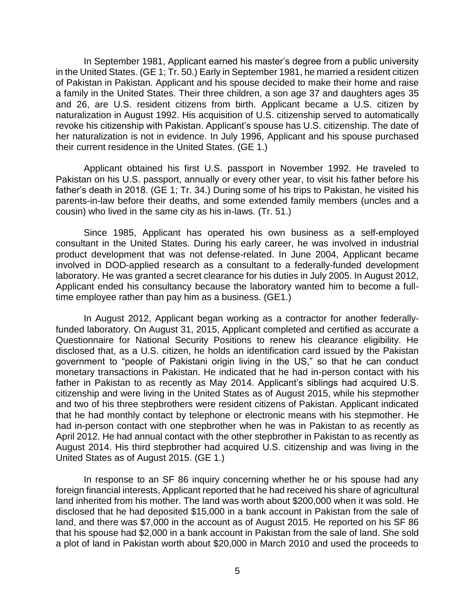In September 1981, Applicant earned his master's degree from a public university in the United States. (GE 1; Tr. 50.) Early in September 1981, he married a resident citizen of Pakistan in Pakistan. Applicant and his spouse decided to make their home and raise a family in the United States. Their three children, a son age 37 and daughters ages 35 and 26, are U.S. resident citizens from birth. Applicant became a U.S. citizen by naturalization in August 1992. His acquisition of U.S. citizenship served to automatically revoke his citizenship with Pakistan. Applicant's spouse has U.S. citizenship. The date of her naturalization is not in evidence. In July 1996, Applicant and his spouse purchased their current residence in the United States. (GE 1.)

 Applicant obtained his first U.S. passport in November 1992. He traveled to Pakistan on his U.S. passport, annually or every other year, to visit his father before his father's death in 2018. (GE 1; Tr. 34.) During some of his trips to Pakistan, he visited his parents-in-law before their deaths, and some extended family members (uncles and a cousin) who lived in the same city as his in-laws. (Tr. 51.)

 Since 1985, Applicant has operated his own business as a self-employed consultant in the United States. During his early career, he was involved in industrial laboratory. He was granted a secret clearance for his duties in July 2005. In August 2012, Applicant ended his consultancy because the laboratory wanted him to become a full- time employee rather than pay him as a business. (GE1.) product development that was not defense-related. In June 2004, Applicant became involved in DOD-applied research as a consultant to a federally-funded development

 In August 2012, Applicant began working as a contractor for another federally- funded laboratory. On August 31, 2015, Applicant completed and certified as accurate a Questionnaire for National Security Positions to renew his clearance eligibility. He disclosed that, as a U.S. citizen, he holds an identification card issued by the Pakistan government to "people of Pakistani origin living in the US," so that he can conduct monetary transactions in Pakistan. He indicated that he had in-person contact with his father in Pakistan to as recently as May 2014. Applicant's siblings had acquired U.S. citizenship and were living in the United States as of August 2015, while his stepmother and two of his three stepbrothers were resident citizens of Pakistan. Applicant indicated that he had monthly contact by telephone or electronic means with his stepmother. He had in-person contact with one stepbrother when he was in Pakistan to as recently as April 2012. He had annual contact with the other stepbrother in Pakistan to as recently as August 2014. His third stepbrother had acquired U.S. citizenship and was living in the United States as of August 2015. (GE 1.)

 In response to an SF 86 inquiry concerning whether he or his spouse had any foreign financial interests, Applicant reported that he had received his share of agricultural land inherited from his mother. The land was worth about \$200,000 when it was sold. He disclosed that he had deposited \$15,000 in a bank account in Pakistan from the sale of land, and there was \$7,000 in the account as of August 2015. He reported on his SF 86 that his spouse had \$2,000 in a bank account in Pakistan from the sale of land. She sold a plot of land in Pakistan worth about \$20,000 in March 2010 and used the proceeds to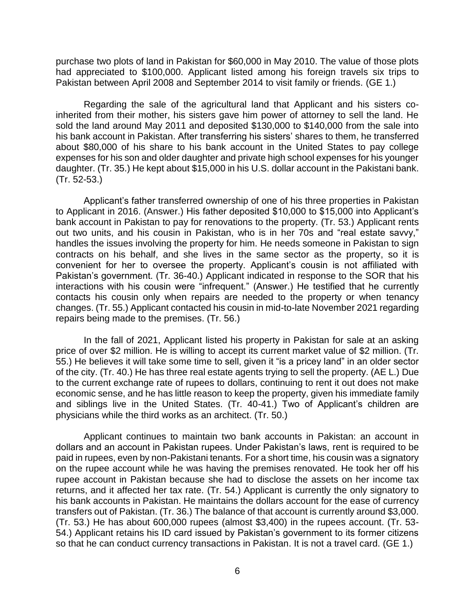purchase two plots of land in Pakistan for \$60,000 in May 2010. The value of those plots had appreciated to \$100,000. Applicant listed among his foreign travels six trips to Pakistan between April 2008 and September 2014 to visit family or friends. (GE 1.)

 Regarding the sale of the agricultural land that Applicant and his sisters co- inherited from their mother, his sisters gave him power of attorney to sell the land. He sold the land around May 2011 and deposited \$130,000 to \$140,000 from the sale into his bank account in Pakistan. After transferring his sisters' shares to them, he transferred about \$80,000 of his share to his bank account in the United States to pay college expenses for his son and older daughter and private high school expenses for his younger daughter. (Tr. 35.) He kept about \$15,000 in his U.S. dollar account in the Pakistani bank. (Tr. 52-53.)

 Applicant's father transferred ownership of one of his three properties in Pakistan to Applicant in 2016. (Answer.) His father deposited \$10,000 to \$15,000 into Applicant's bank account in Pakistan to pay for renovations to the property. (Tr. 53.) Applicant rents out two units, and his cousin in Pakistan, who is in her 70s and "real estate savvy," handles the issues involving the property for him. He needs someone in Pakistan to sign contracts on his behalf, and she lives in the same sector as the property, so it is convenient for her to oversee the property. Applicant's cousin is not affiliated with Pakistan's government. (Tr. 36-40.) Applicant indicated in response to the SOR that his interactions with his cousin were "infrequent." (Answer.) He testified that he currently contacts his cousin only when repairs are needed to the property or when tenancy changes. (Tr. 55.) Applicant contacted his cousin in mid-to-late November 2021 regarding repairs being made to the premises. (Tr. 56.)

 In the fall of 2021, Applicant listed his property in Pakistan for sale at an asking price of over \$2 million. He is willing to accept its current market value of \$2 million. (Tr. of the city. (Tr. 40.) He has three real estate agents trying to sell the property. (AE L.) Due to the current exchange rate of rupees to dollars, continuing to rent it out does not make economic sense, and he has little reason to keep the property, given his immediate family and siblings live in the United States. (Tr. 40-41.) Two of Applicant's children are 55.) He believes it will take some time to sell, given it "is a pricey land" in an older sector physicians while the third works as an architect. (Tr. 50.)

Applicant continues to maintain two bank accounts in Pakistan: an account in dollars and an account in Pakistan rupees. Under Pakistan's laws, rent is required to be paid in rupees, even by non-Pakistani tenants. For a short time, his cousin was a signatory on the rupee account while he was having the premises renovated. He took her off his rupee account in Pakistan because she had to disclose the assets on her income tax returns, and it affected her tax rate. (Tr. 54.) Applicant is currently the only signatory to his bank accounts in Pakistan. He maintains the dollars account for the ease of currency transfers out of Pakistan. (Tr. 36.) The balance of that account is currently around \$3,000. (Tr. 53.) He has about 600,000 rupees (almost \$3,400) in the rupees account. (Tr. 53- 54.) Applicant retains his ID card issued by Pakistan's government to its former citizens so that he can conduct currency transactions in Pakistan. It is not a travel card. (GE 1.)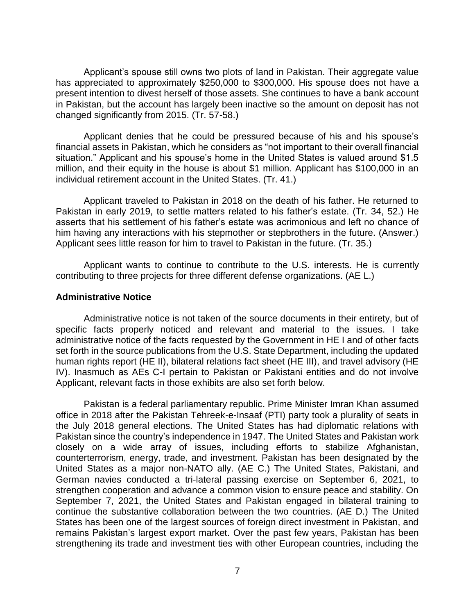Applicant's spouse still owns two plots of land in Pakistan. Their aggregate value has appreciated to approximately \$250,000 to \$300,000. His spouse does not have a present intention to divest herself of those assets. She continues to have a bank account in Pakistan, but the account has largely been inactive so the amount on deposit has not changed significantly from 2015. (Tr. 57-58.)

 Applicant denies that he could be pressured because of his and his spouse's financial assets in Pakistan, which he considers as "not important to their overall financial situation." Applicant and his spouse's home in the United States is valued around \$1.5 million, and their equity in the house is about \$1 million. Applicant has \$100,000 in an individual retirement account in the United States. (Tr. 41.)

 Applicant traveled to Pakistan in 2018 on the death of his father. He returned to Pakistan in early 2019, to settle matters related to his father's estate. (Tr. 34, 52.) He asserts that his settlement of his father's estate was acrimonious and left no chance of him having any interactions with his stepmother or stepbrothers in the future. (Answer.) Applicant sees little reason for him to travel to Pakistan in the future. (Tr. 35.)

 Applicant wants to continue to contribute to the U.S. interests. He is currently contributing to three projects for three different defense organizations. (AE L.)

### **Administrative Notice**

 Administrative notice is not taken of the source documents in their entirety, but of specific facts properly noticed and relevant and material to the issues. I take administrative notice of the facts requested by the Government in HE I and of other facts set forth in the source publications from the U.S. State Department, including the updated IV). Inasmuch as AEs C-I pertain to Pakistan or Pakistani entities and do not involve human rights report (HE II), bilateral relations fact sheet (HE III), and travel advisory (HE Applicant, relevant facts in those exhibits are also set forth below.

 Pakistan is a federal parliamentary republic. Prime Minister Imran Khan assumed office in 2018 after the Pakistan Tehreek-e-Insaaf (PTI) party took a plurality of seats in the July 2018 general elections. The United States has had diplomatic relations with Pakistan since the country's independence in 1947. The United States and Pakistan work closely on a wide array of issues, including efforts to stabilize Afghanistan, counterterrorism, energy, trade, and investment. Pakistan has been designated by the United States as a major non-NATO ally. (AE C.) The United States, Pakistani, and German navies conducted a tri-lateral passing exercise on September 6, 2021, to strengthen cooperation and advance a common vision to ensure peace and stability. On September 7, 2021, the United States and Pakistan engaged in bilateral training to continue the substantive collaboration between the two countries. (AE D.) The United States has been one of the largest sources of foreign direct investment in Pakistan, and remains Pakistan's largest export market. Over the past few years, Pakistan has been strengthening its trade and investment ties with other European countries, including the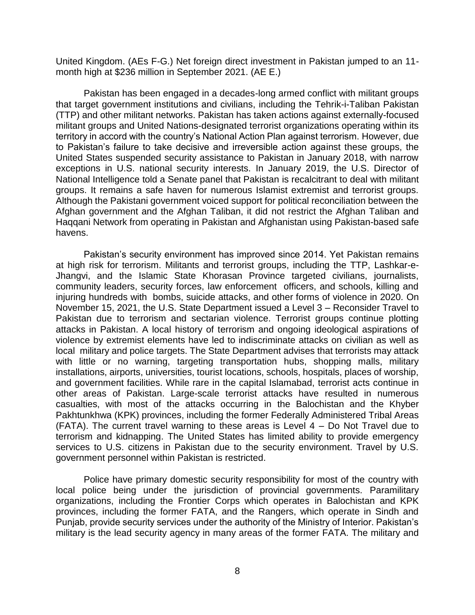United Kingdom. (AEs F-G.) Net foreign direct investment in Pakistan jumped to an 11 month high at \$236 million in September 2021. (AE E.)

 Pakistan has been engaged in a decades-long armed conflict with militant groups that target government institutions and civilians, including the Tehrik-i-Taliban Pakistan territory in accord with the country's National Action Plan against terrorism. However, due to Pakistan's failure to take decisive and irreversible action against these groups, the United States suspended security assistance to Pakistan in January 2018, with narrow exceptions in U.S. national security interests. In January 2019, the U.S. Director of National Intelligence told a Senate panel that Pakistan is recalcitrant to deal with militant groups. It remains a safe haven for numerous Islamist extremist and terrorist groups. Although the Pakistani government voiced support for political reconciliation between the Afghan government and the Afghan Taliban, it did not restrict the Afghan Taliban and Haqqani Network from operating in Pakistan and Afghanistan using Pakistan-based safe (TTP) and other militant networks. Pakistan has taken actions against externally-focused militant groups and United Nations-designated terrorist organizations operating within its havens.

 Pakistan's security environment has improved since 2014. Yet Pakistan remains at high risk for terrorism. Militants and terrorist groups, including the TTP, Lashkar-e- Jhangvi, and the Islamic State Khorasan Province targeted civilians, journalists, community leaders, security forces, law enforcement officers, and schools, killing and injuring hundreds with bombs, suicide attacks, and other forms of violence in 2020. On November 15, 2021, the U.S. State Department issued a Level 3 – Reconsider Travel to Pakistan due to terrorism and sectarian violence. Terrorist groups continue plotting attacks in Pakistan. A local history of terrorism and ongoing ideological aspirations of violence by extremist elements have led to indiscriminate attacks on civilian as well as local military and police targets. The State Department advises that terrorists may attack with little or no warning, targeting transportation hubs, shopping malls, military and government facilities. While rare in the capital Islamabad, terrorist acts continue in other areas of Pakistan. Large-scale terrorist attacks have resulted in numerous casualties, with most of the attacks occurring in the Balochistan and the Khyber (FATA). The current travel warning to these areas is Level 4 – Do Not Travel due to terrorism and kidnapping. The United States has limited ability to provide emergency services to U.S. citizens in Pakistan due to the security environment. Travel by U.S. installations, airports, universities, tourist locations, schools, hospitals, places of worship, Pakhtunkhwa (KPK) provinces, including the former Federally Administered Tribal Areas government personnel within Pakistan is restricted.

 Police have primary domestic security responsibility for most of the country with local police being under the jurisdiction of provincial governments. Paramilitary organizations, including the Frontier Corps which operates in Balochistan and KPK provinces, including the former FATA, and the Rangers, which operate in Sindh and Punjab, provide security services under the authority of the Ministry of Interior. Pakistan's military is the lead security agency in many areas of the former FATA. The military and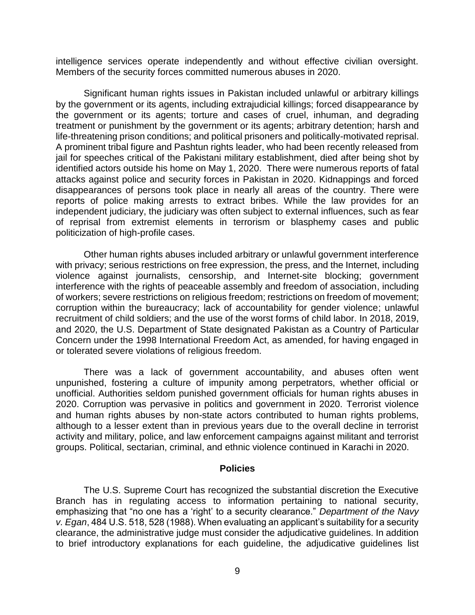intelligence services operate independently and without effective civilian oversight. Members of the security forces committed numerous abuses in 2020.

 Significant human rights issues in Pakistan included unlawful or arbitrary killings by the government or its agents, including extrajudicial killings; forced disappearance by the government or its agents; torture and cases of cruel, inhuman, and degrading treatment or punishment by the government or its agents; arbitrary detention; harsh and life-threatening prison conditions; and political prisoners and politically-motivated reprisal. A prominent tribal figure and Pashtun rights leader, who had been recently released from jail for speeches critical of the Pakistani military establishment, died after being shot by identified actors outside his home on May 1, 2020. There were numerous reports of fatal attacks against police and security forces in Pakistan in 2020. Kidnappings and forced disappearances of persons took place in nearly all areas of the country. There were reports of police making arrests to extract bribes. While the law provides for an independent judiciary, the judiciary was often subject to external influences, such as fear of reprisal from extremist elements in terrorism or blasphemy cases and public politicization of high-profile cases.

 with privacy; serious restrictions on free expression, the press, and the Internet, including violence against journalists, censorship, and Internet-site blocking; government of workers; severe restrictions on religious freedom; restrictions on freedom of movement; corruption within the bureaucracy; lack of accountability for gender violence; unlawful and 2020, the U.S. Department of State designated Pakistan as a Country of Particular Concern under the 1998 International Freedom Act, as amended, for having engaged in Other human rights abuses included arbitrary or unlawful government interference interference with the rights of peaceable assembly and freedom of association, including recruitment of child soldiers; and the use of the worst forms of child labor. In 2018, 2019, or tolerated severe violations of religious freedom.

 There was a lack of government accountability, and abuses often went unpunished, fostering a culture of impunity among perpetrators, whether official or unofficial. Authorities seldom punished government officials for human rights abuses in and human rights abuses by non-state actors contributed to human rights problems, although to a lesser extent than in previous years due to the overall decline in terrorist activity and military, police, and law enforcement campaigns against militant and terrorist 2020. Corruption was pervasive in politics and government in 2020. Terrorist violence groups. Political, sectarian, criminal, and ethnic violence continued in Karachi in 2020.

#### **Policies**

The U.S. Supreme Court has recognized the substantial discretion the Executive Branch has in regulating access to information pertaining to national security, emphasizing that "no one has a 'right' to a security clearance." *Department of the Navy v. Egan*, 484 U.S. 518, 528 (1988). When evaluating an applicant's suitability for a security clearance, the administrative judge must consider the adjudicative guidelines. In addition to brief introductory explanations for each guideline, the adjudicative guidelines list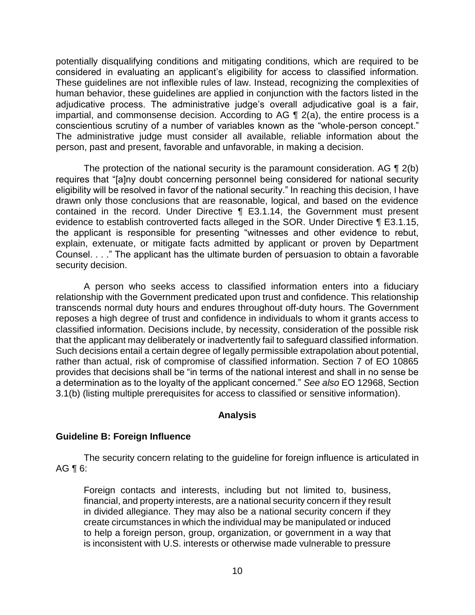potentially disqualifying conditions and mitigating conditions, which are required to be considered in evaluating an applicant's eligibility for access to classified information. These guidelines are not inflexible rules of law. Instead, recognizing the complexities of human behavior, these guidelines are applied in conjunction with the factors listed in the adjudicative process. The administrative judge's overall adjudicative goal is a fair, impartial, and commonsense decision. According to AG ¶ 2(a), the entire process is a conscientious scrutiny of a number of variables known as the "whole-person concept." The administrative judge must consider all available, reliable information about the person, past and present, favorable and unfavorable, in making a decision.

The protection of the national security is the paramount consideration. AG  $\P$  2(b) eligibility will be resolved in favor of the national security." In reaching this decision, I have drawn only those conclusions that are reasonable, logical, and based on the evidence contained in the record. Under Directive ¶ E3.1.14, the Government must present evidence to establish controverted facts alleged in the SOR. Under Directive ¶ E3.1.15, the applicant is responsible for presenting "witnesses and other evidence to rebut, explain, extenuate, or mitigate facts admitted by applicant or proven by Department Counsel. . . ." The applicant has the ultimate burden of persuasion to obtain a favorable requires that "[a]ny doubt concerning personnel being considered for national security security decision.

 A person who seeks access to classified information enters into a fiduciary relationship with the Government predicated upon trust and confidence. This relationship transcends normal duty hours and endures throughout off-duty hours. The Government reposes a high degree of trust and confidence in individuals to whom it grants access to classified information. Decisions include, by necessity, consideration of the possible risk that the applicant may deliberately or inadvertently fail to safeguard classified information. Such decisions entail a certain degree of legally permissible extrapolation about potential, rather than actual, risk of compromise of classified information. Section 7 of EO 10865 provides that decisions shall be "in terms of the national interest and shall in no sense be a determination as to the loyalty of the applicant concerned." *See also* EO 12968, Section 3.1(b) (listing multiple prerequisites for access to classified or sensitive information).

## **Analysis**

## **Guideline B: Foreign Influence**

 The security concern relating to the guideline for foreign influence is articulated in AG ¶ 6:

 Foreign contacts and interests, including but not limited to, business, financial, and property interests, are a national security concern if they result in divided allegiance. They may also be a national security concern if they create circumstances in which the individual may be manipulated or induced to help a foreign person, group, organization, or government in a way that is inconsistent with U.S. interests or otherwise made vulnerable to pressure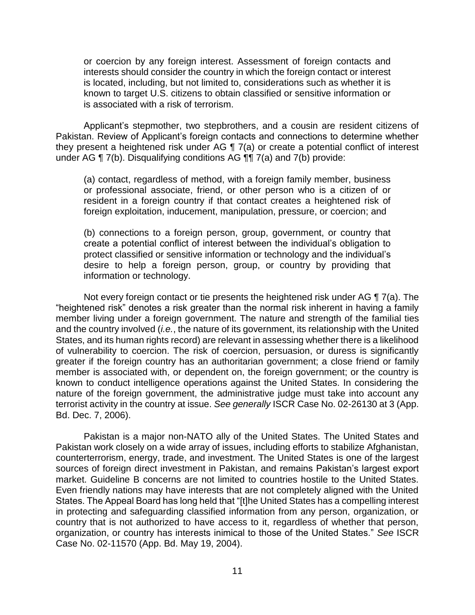or coercion by any foreign interest. Assessment of foreign contacts and interests should consider the country in which the foreign contact or interest known to target U.S. citizens to obtain classified or sensitive information or is located, including, but not limited to, considerations such as whether it is is associated with a risk of terrorism.

 Applicant's stepmother, two stepbrothers, and a cousin are resident citizens of Pakistan. Review of Applicant's foreign contacts and connections to determine whether they present a heightened risk under AG ¶ 7(a) or create a potential conflict of interest under AG ¶ 7(b). Disqualifying conditions AG ¶¶ 7(a) and 7(b) provide:

(a) contact, regardless of method, with a foreign family member, business or professional associate, friend, or other person who is a citizen of or resident in a foreign country if that contact creates a heightened risk of foreign exploitation, inducement, manipulation, pressure, or coercion; and

(b) connections to a foreign person, group, government, or country that create a potential conflict of interest between the individual's obligation to protect classified or sensitive information or technology and the individual's desire to help a foreign person, group, or country by providing that information or technology.

Not every foreign contact or tie presents the heightened risk under AG ¶ 7(a). The "heightened risk" denotes a risk greater than the normal risk inherent in having a family member living under a foreign government. The nature and strength of the familial ties and the country involved (*i.e.*, the nature of its government, its relationship with the United States, and its human rights record) are relevant in assessing whether there is a likelihood of vulnerability to coercion. The risk of coercion, persuasion, or duress is significantly greater if the foreign country has an authoritarian government; a close friend or family member is associated with, or dependent on, the foreign government; or the country is known to conduct intelligence operations against the United States. In considering the nature of the foreign government, the administrative judge must take into account any terrorist activity in the country at issue. *See generally* ISCR Case No. 02-26130 at 3 (App. Bd. Dec. 7, 2006).

 Pakistan is a major non-NATO ally of the United States. The United States and Pakistan work closely on a wide array of issues, including efforts to stabilize Afghanistan, counterterrorism, energy, trade, and investment. The United States is one of the largest sources of foreign direct investment in Pakistan, and remains Pakistan's largest export market. Guideline B concerns are not limited to countries hostile to the United States. Even friendly nations may have interests that are not completely aligned with the United States. The Appeal Board has long held that "[t]he United States has a compelling interest in protecting and safeguarding classified information from any person, organization, or country that is not authorized to have access to it, regardless of whether that person, organization, or country has interests inimical to those of the United States." *See* ISCR Case No. 02-11570 (App. Bd. May 19, 2004).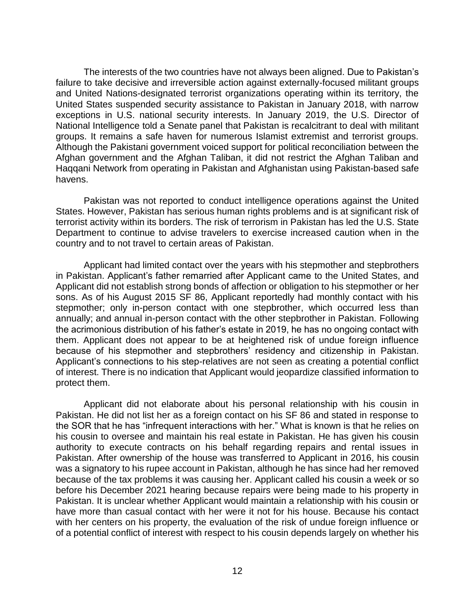The interests of the two countries have not always been aligned. Due to Pakistan's failure to take decisive and irreversible action against externally-focused militant groups and United Nations-designated terrorist organizations operating within its territory, the United States suspended security assistance to Pakistan in January 2018, with narrow exceptions in U.S. national security interests. In January 2019, the U.S. Director of National Intelligence told a Senate panel that Pakistan is recalcitrant to deal with militant groups. It remains a safe haven for numerous Islamist extremist and terrorist groups. Although the Pakistani government voiced support for political reconciliation between the Afghan government and the Afghan Taliban, it did not restrict the Afghan Taliban and Haqqani Network from operating in Pakistan and Afghanistan using Pakistan-based safe havens.

 Pakistan was not reported to conduct intelligence operations against the United States. However, Pakistan has serious human rights problems and is at significant risk of terrorist activity within its borders. The risk of terrorism in Pakistan has led the U.S. State Department to continue to advise travelers to exercise increased caution when in the country and to not travel to certain areas of Pakistan.

 in Pakistan. Applicant's father remarried after Applicant came to the United States, and Applicant did not establish strong bonds of affection or obligation to his stepmother or her sons. As of his August 2015 SF 86, Applicant reportedly had monthly contact with his stepmother; only in-person contact with one stepbrother, which occurred less than annually; and annual in-person contact with the other stepbrother in Pakistan. Following the acrimonious distribution of his father's estate in 2019, he has no ongoing contact with them. Applicant does not appear to be at heightened risk of undue foreign influence because of his stepmother and stepbrothers' residency and citizenship in Pakistan. Applicant's connections to his step-relatives are not seen as creating a potential conflict of interest. There is no indication that Applicant would jeopardize classified information to Applicant had limited contact over the years with his stepmother and stepbrothers protect them.

 Applicant did not elaborate about his personal relationship with his cousin in Pakistan. He did not list her as a foreign contact on his SF 86 and stated in response to the SOR that he has "infrequent interactions with her." What is known is that he relies on his cousin to oversee and maintain his real estate in Pakistan. He has given his cousin authority to execute contracts on his behalf regarding repairs and rental issues in Pakistan. After ownership of the house was transferred to Applicant in 2016, his cousin was a signatory to his rupee account in Pakistan, although he has since had her removed before his December 2021 hearing because repairs were being made to his property in have more than casual contact with her were it not for his house. Because his contact with her centers on his property, the evaluation of the risk of undue foreign influence or of a potential conflict of interest with respect to his cousin depends largely on whether his because of the tax problems it was causing her. Applicant called his cousin a week or so Pakistan. It is unclear whether Applicant would maintain a relationship with his cousin or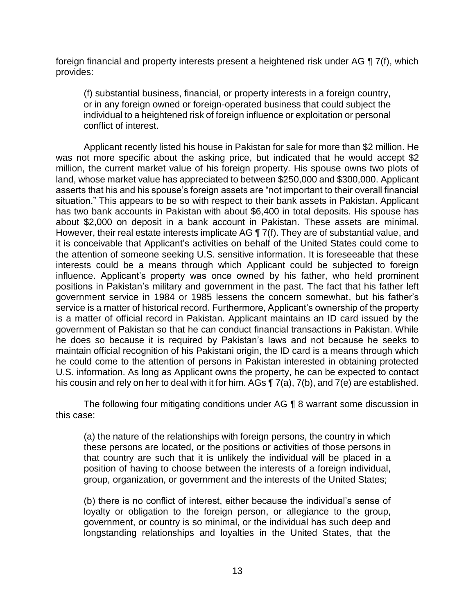foreign financial and property interests present a heightened risk under AG ¶ 7(f), which provides:

(f) substantial business, financial, or property interests in a foreign country, or in any foreign owned or foreign-operated business that could subject the individual to a heightened risk of foreign influence or exploitation or personal conflict of interest.

Applicant recently listed his house in Pakistan for sale for more than \$2 million. He was not more specific about the asking price, but indicated that he would accept \$2 million, the current market value of his foreign property. His spouse owns two plots of land, whose market value has appreciated to between \$250,000 and \$300,000. Applicant asserts that his and his spouse's foreign assets are "not important to their overall financial situation." This appears to be so with respect to their bank assets in Pakistan. Applicant has two bank accounts in Pakistan with about \$6,400 in total deposits. His spouse has about \$2,000 on deposit in a bank account in Pakistan. These assets are minimal. However, their real estate interests implicate AG ¶ 7(f). They are of substantial value, and it is conceivable that Applicant's activities on behalf of the United States could come to the attention of someone seeking U.S. sensitive information. It is foreseeable that these interests could be a means through which Applicant could be subjected to foreign influence. Applicant's property was once owned by his father, who held prominent positions in Pakistan's military and government in the past. The fact that his father left government service in 1984 or 1985 lessens the concern somewhat, but his father's service is a matter of historical record. Furthermore, Applicant's ownership of the property is a matter of official record in Pakistan. Applicant maintains an ID card issued by the government of Pakistan so that he can conduct financial transactions in Pakistan. While he does so because it is required by Pakistan's laws and not because he seeks to maintain official recognition of his Pakistani origin, the ID card is a means through which he could come to the attention of persons in Pakistan interested in obtaining protected U.S. information. As long as Applicant owns the property, he can be expected to contact his cousin and rely on her to deal with it for him. AGs ¶ 7(a), 7(b), and 7(e) are established.

 The following four mitigating conditions under AG ¶ 8 warrant some discussion in this case:

(a) the nature of the relationships with foreign persons, the country in which these persons are located, or the positions or activities of those persons in that country are such that it is unlikely the individual will be placed in a position of having to choose between the interests of a foreign individual, group, organization, or government and the interests of the United States;

(b) there is no conflict of interest, either because the individual's sense of loyalty or obligation to the foreign person, or allegiance to the group, government, or country is so minimal, or the individual has such deep and longstanding relationships and loyalties in the United States, that the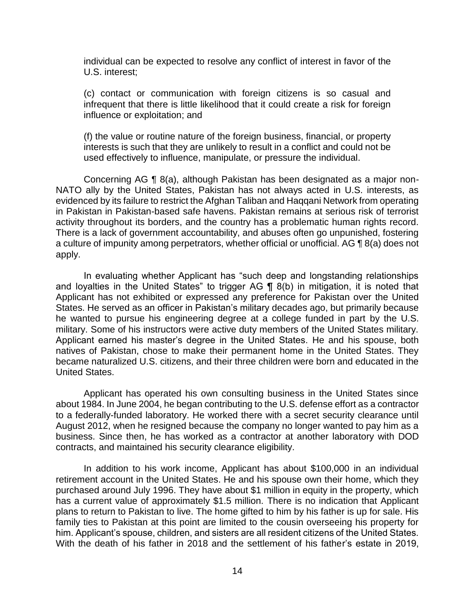individual can be expected to resolve any conflict of interest in favor of the U.S. interest;

(c) contact or communication with foreign citizens is so casual and infrequent that there is little likelihood that it could create a risk for foreign influence or exploitation; and

(f) the value or routine nature of the foreign business, financial, or property interests is such that they are unlikely to result in a conflict and could not be used effectively to influence, manipulate, or pressure the individual.

 Concerning AG ¶ 8(a), although Pakistan has been designated as a major non- NATO ally by the United States, Pakistan has not always acted in U.S. interests, as evidenced by its failure to restrict the Afghan Taliban and Haqqani Network from operating in Pakistan in Pakistan-based safe havens. Pakistan remains at serious risk of terrorist activity throughout its borders, and the country has a problematic human rights record. a culture of impunity among perpetrators, whether official or unofficial. AG ¶ 8(a) does not There is a lack of government accountability, and abuses often go unpunished, fostering apply.

 In evaluating whether Applicant has "such deep and longstanding relationships and loyalties in the United States" to trigger AG ¶ 8(b) in mitigation, it is noted that Applicant has not exhibited or expressed any preference for Pakistan over the United States. He served as an officer in Pakistan's military decades ago, but primarily because he wanted to pursue his engineering degree at a college funded in part by the U.S. military. Some of his instructors were active duty members of the United States military. Applicant earned his master's degree in the United States. He and his spouse, both natives of Pakistan, chose to make their permanent home in the United States. They became naturalized U.S. citizens, and their three children were born and educated in the United States.

 Applicant has operated his own consulting business in the United States since about 1984. In June 2004, he began contributing to the U.S. defense effort as a contractor to a federally-funded laboratory. He worked there with a secret security clearance until August 2012, when he resigned because the company no longer wanted to pay him as a business. Since then, he has worked as a contractor at another laboratory with DOD contracts, and maintained his security clearance eligibility.

 In addition to his work income, Applicant has about \$100,000 in an individual retirement account in the United States. He and his spouse own their home, which they purchased around July 1996. They have about \$1 million in equity in the property, which has a current value of approximately \$1.5 million. There is no indication that Applicant plans to return to Pakistan to live. The home gifted to him by his father is up for sale. His family ties to Pakistan at this point are limited to the cousin overseeing his property for him. Applicant's spouse, children, and sisters are all resident citizens of the United States. With the death of his father in 2018 and the settlement of his father's estate in 2019,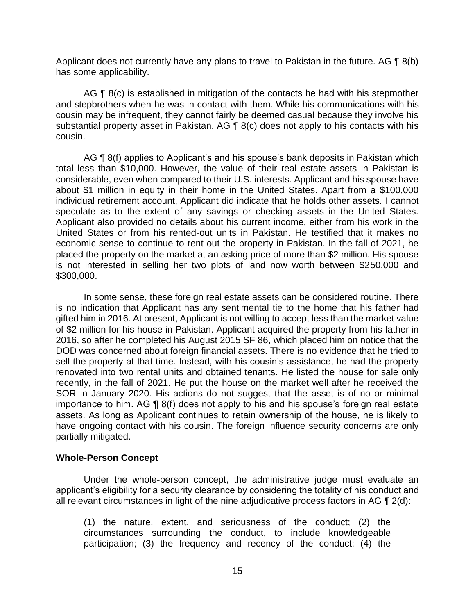Applicant does not currently have any plans to travel to Pakistan in the future. AG  $\P$  8(b) has some applicability.

AG ¶ 8(c) is established in mitigation of the contacts he had with his stepmother and stepbrothers when he was in contact with them. While his communications with his cousin may be infrequent, they cannot fairly be deemed casual because they involve his substantial property asset in Pakistan. AG  $\P$  8(c) does not apply to his contacts with his cousin.

AG ¶ 8(f) applies to Applicant's and his spouse's bank deposits in Pakistan which total less than \$10,000. However, the value of their real estate assets in Pakistan is considerable, even when compared to their U.S. interests. Applicant and his spouse have about \$1 million in equity in their home in the United States. Apart from a \$100,000 individual retirement account, Applicant did indicate that he holds other assets. I cannot speculate as to the extent of any savings or checking assets in the United States. Applicant also provided no details about his current income, either from his work in the economic sense to continue to rent out the property in Pakistan. In the fall of 2021, he placed the property on the market at an asking price of more than \$2 million. His spouse is not interested in selling her two plots of land now worth between \$250,000 and United States or from his rented-out units in Pakistan. He testified that it makes no \$300,000.

 In some sense, these foreign real estate assets can be considered routine. There is no indication that Applicant has any sentimental tie to the home that his father had gifted him in 2016. At present, Applicant is not willing to accept less than the market value of \$2 million for his house in Pakistan. Applicant acquired the property from his father in 2016, so after he completed his August 2015 SF 86, which placed him on notice that the DOD was concerned about foreign financial assets. There is no evidence that he tried to sell the property at that time. Instead, with his cousin's assistance, he had the property renovated into two rental units and obtained tenants. He listed the house for sale only recently, in the fall of 2021. He put the house on the market well after he received the SOR in January 2020. His actions do not suggest that the asset is of no or minimal importance to him. AG ¶ 8(f) does not apply to his and his spouse's foreign real estate assets. As long as Applicant continues to retain ownership of the house, he is likely to have ongoing contact with his cousin. The foreign influence security concerns are only partially mitigated.

## **Whole-Person Concept**

 Under the whole-person concept, the administrative judge must evaluate an applicant's eligibility for a security clearance by considering the totality of his conduct and all relevant circumstances in light of the nine adjudicative process factors in AG ¶ 2(d):

(1) the nature, extent, and seriousness of the conduct; (2) the circumstances surrounding the conduct, to include knowledgeable participation; (3) the frequency and recency of the conduct; (4) the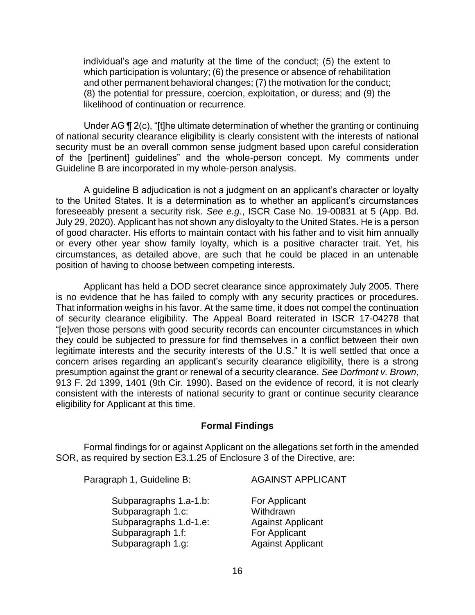individual's age and maturity at the time of the conduct; (5) the extent to which participation is voluntary; (6) the presence or absence of rehabilitation and other permanent behavioral changes; (7) the motivation for the conduct; (8) the potential for pressure, coercion, exploitation, or duress; and (9) the likelihood of continuation or recurrence.

Under AG ¶ 2(c), "[t]he ultimate determination of whether the granting or continuing of national security clearance eligibility is clearly consistent with the interests of national security must be an overall common sense judgment based upon careful consideration of the [pertinent] guidelines" and the whole-person concept. My comments under Guideline B are incorporated in my whole-person analysis.

 A guideline B adjudication is not a judgment on an applicant's character or loyalty to the United States. It is a determination as to whether an applicant's circumstances foreseeably present a security risk. *See e.g.*, ISCR Case No. 19-00831 at 5 (App. Bd. July 29, 2020). Applicant has not shown any disloyalty to the United States. He is a person of good character. His efforts to maintain contact with his father and to visit him annually or every other year show family loyalty, which is a positive character trait. Yet, his circumstances, as detailed above, are such that he could be placed in an untenable position of having to choose between competing interests.

 is no evidence that he has failed to comply with any security practices or procedures. That information weighs in his favor. At the same time, it does not compel the continuation of security clearance eligibility. The Appeal Board reiterated in ISCR 17-04278 that "[e]ven those persons with good security records can encounter circumstances in which they could be subjected to pressure for find themselves in a conflict between their own legitimate interests and the security interests of the U.S." It is well settled that once a concern arises regarding an applicant's security clearance eligibility, there is a strong presumption against the grant or renewal of a security clearance. *See Dorfmont v. Brown*, 913 F. 2d 1399, 1401 (9th Cir. 1990). Based on the evidence of record, it is not clearly consistent with the interests of national security to grant or continue security clearance Applicant has held a DOD secret clearance since approximately July 2005. There eligibility for Applicant at this time.

## **Formal Findings**

 Formal findings for or against Applicant on the allegations set forth in the amended SOR, as required by section E3.1.25 of Enclosure 3 of the Directive, are:

Paragraph 1, Guideline B: AGAINST APPLICANT

Subparagraphs 1.a-1.b: For Applicant Subparagraph 1.c: Withdrawn Subparagraphs 1.d-1.e: Against Applicant Subparagraph 1.f: For Applicant Subparagraph 1.g: Against Applicant